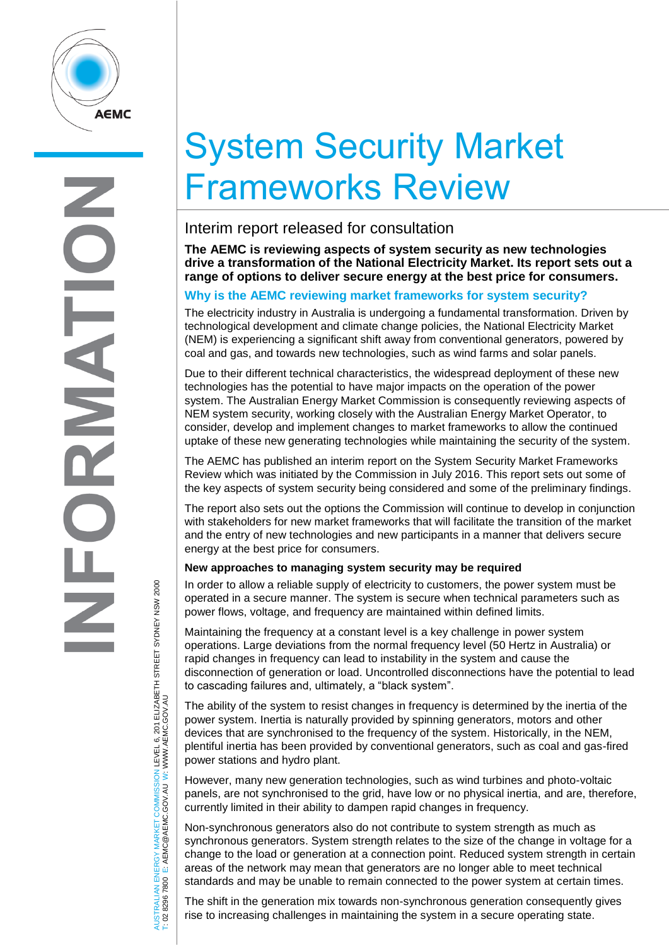

# System Security Market Frameworks Review

## Interim report released for consultation

**The AEMC is reviewing aspects of system security as new technologies drive a transformation of the National Electricity Market. Its report sets out a range of options to deliver secure energy at the best price for consumers.**

## **Why is the AEMC reviewing market frameworks for system security?**

The electricity industry in Australia is undergoing a fundamental transformation. Driven by technological development and climate change policies, the National Electricity Market (NEM) is experiencing a significant shift away from conventional generators, powered by coal and gas, and towards new technologies, such as wind farms and solar panels.

Due to their different technical characteristics, the widespread deployment of these new technologies has the potential to have major impacts on the operation of the power system. The Australian Energy Market Commission is consequently reviewing aspects of NEM system security, working closely with the Australian Energy Market Operator, to consider, develop and implement changes to market frameworks to allow the continued uptake of these new generating technologies while maintaining the security of the system.

The AEMC has published an interim report on the System Security Market Frameworks Review which was initiated by the Commission in July 2016. This report sets out some of the key aspects of system security being considered and some of the preliminary findings.

The report also sets out the options the Commission will continue to develop in conjunction with stakeholders for new market frameworks that will facilitate the transition of the market and the entry of new technologies and new participants in a manner that delivers secure energy at the best price for consumers.

### **New approaches to managing system security may be required**

In order to allow a reliable supply of electricity to customers, the power system must be operated in a secure manner. The system is secure when technical parameters such as power flows, voltage, and frequency are maintained within defined limits.

Maintaining the frequency at a constant level is a key challenge in power system operations. Large deviations from the normal frequency level (50 Hertz in Australia) or rapid changes in frequency can lead to instability in the system and cause the disconnection of generation or load. Uncontrolled disconnections have the potential to lead to cascading failures and, ultimately, a "black system".

The ability of the system to resist changes in frequency is determined by the inertia of the power system. Inertia is naturally provided by spinning generators, motors and other devices that are synchronised to the frequency of the system. Historically, in the NEM, plentiful inertia has been provided by conventional generators, such as coal and gas-fired power stations and hydro plant.

However, many new generation technologies, such as wind turbines and photo-voltaic panels, are not synchronised to the grid, have low or no physical inertia, and are, therefore, currently limited in their ability to dampen rapid changes in frequency.

Non-synchronous generators also do not contribute to system strength as much as synchronous generators. System strength relates to the size of the change in voltage for a change to the load or generation at a connection point. Reduced system strength in certain areas of the network may mean that generators are no longer able to meet technical standards and may be unable to remain connected to the power system at certain times.

The shift in the generation mix towards non-synchronous generation consequently gives rise to increasing challenges in maintaining the system in a secure operating state.

AUSTRALIAN ENERGY MARKET COMMISSION LEVEL 6, 201 ELIZABETH STREET SYDNEY NSM 2000<br>T: 02 8296 7800 E: AEMC@AEMC.GOV.AU W: WWW.AEMC.GOV.AU AUSTRALIAN ENERGY MARKET COMMISSION LEVEL 6, 201 ELIZABETH STREET SYDNEY NSW 2000 W: WWW.AEMC.GOV.AU T: 02 8296 7800 E: AEMC@AEMC.GOV.AU